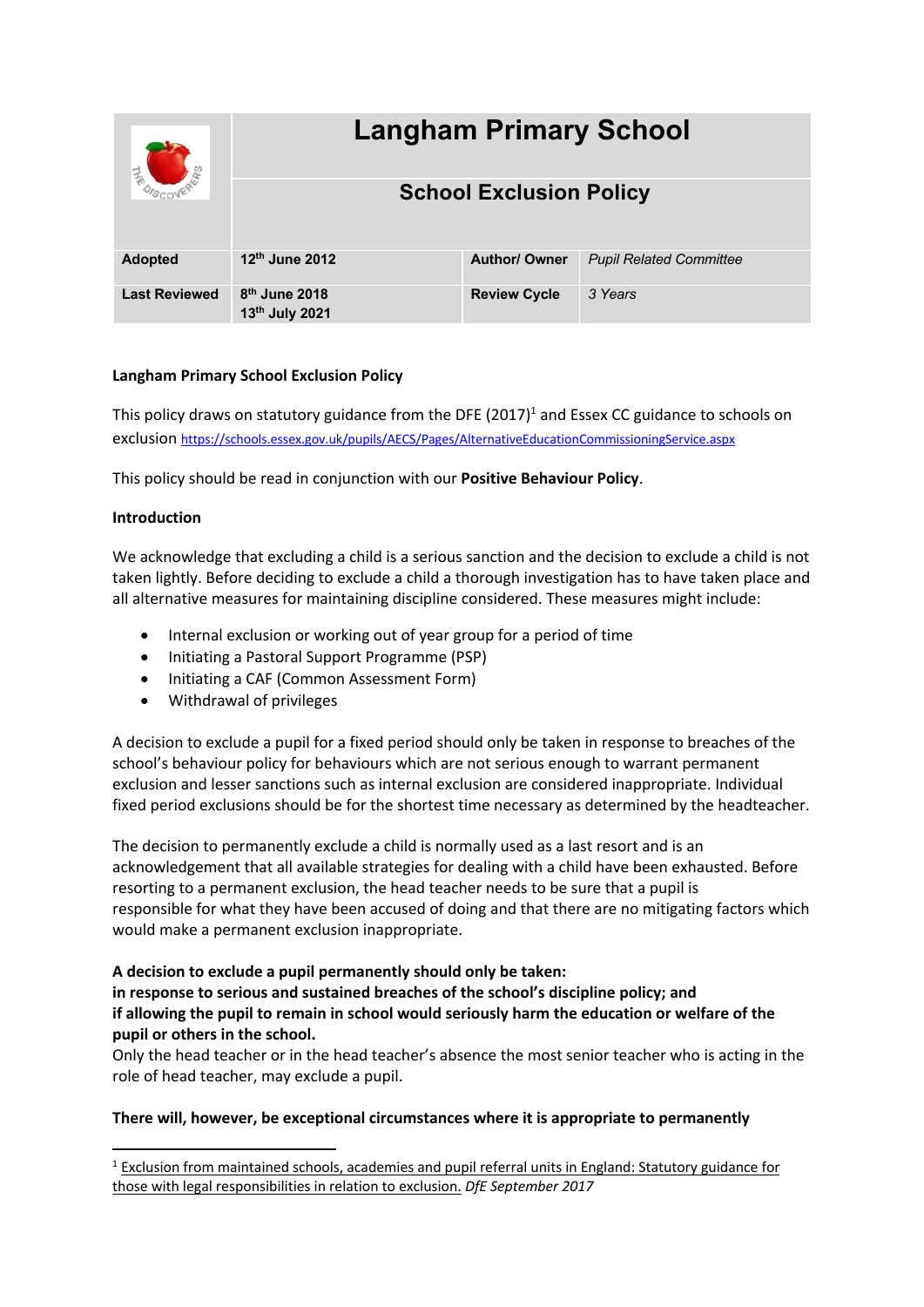|                      | <b>Langham Primary School</b>                 |                      |                                |
|----------------------|-----------------------------------------------|----------------------|--------------------------------|
|                      | <b>School Exclusion Policy</b>                |                      |                                |
| <b>Adopted</b>       | 12th June 2012                                | <b>Author/ Owner</b> | <b>Pupil Related Committee</b> |
| <b>Last Reviewed</b> | $8th$ June 2018<br>13 <sup>th</sup> July 2021 | <b>Review Cycle</b>  | 3 Years                        |

# **Langham Primary School Exclusion Policy**

This policy draws on statutory guidance from the DFE  $(2017)^1$  and Essex CC guidance to schools on exclusion https://schools.essex.gov.uk/pupils/AECS/Pages/AlternativeEducationCommissioningService.aspx

This policy should be read in conjunction with our **Positive Behaviour Policy**.

# **Introduction**

We acknowledge that excluding a child is a serious sanction and the decision to exclude a child is not taken lightly. Before deciding to exclude a child a thorough investigation has to have taken place and all alternative measures for maintaining discipline considered. These measures might include:

- Internal exclusion or working out of year group for a period of time
- Initiating a Pastoral Support Programme (PSP)
- Initiating a CAF (Common Assessment Form)
- Withdrawal of privileges

A decision to exclude a pupil for a fixed period should only be taken in response to breaches of the school's behaviour policy for behaviours which are not serious enough to warrant permanent exclusion and lesser sanctions such as internal exclusion are considered inappropriate. Individual fixed period exclusions should be for the shortest time necessary as determined by the headteacher.

The decision to permanently exclude a child is normally used as a last resort and is an acknowledgement that all available strategies for dealing with a child have been exhausted. Before resorting to a permanent exclusion, the head teacher needs to be sure that a pupil is responsible for what they have been accused of doing and that there are no mitigating factors which would make a permanent exclusion inappropriate.

**A decision to exclude a pupil permanently should only be taken:**

**in response to serious and sustained breaches of the school's discipline policy; and if allowing the pupil to remain in school would seriously harm the education or welfare of the pupil or others in the school.**

Only the head teacher or in the head teacher's absence the most senior teacher who is acting in the role of head teacher, may exclude a pupil.

# **There will, however, be exceptional circumstances where it is appropriate to permanently**

 $1$  Exclusion from maintained schools, academies and pupil referral units in England: Statutory guidance for those with legal responsibilities in relation to exclusion. *DfE September 2017*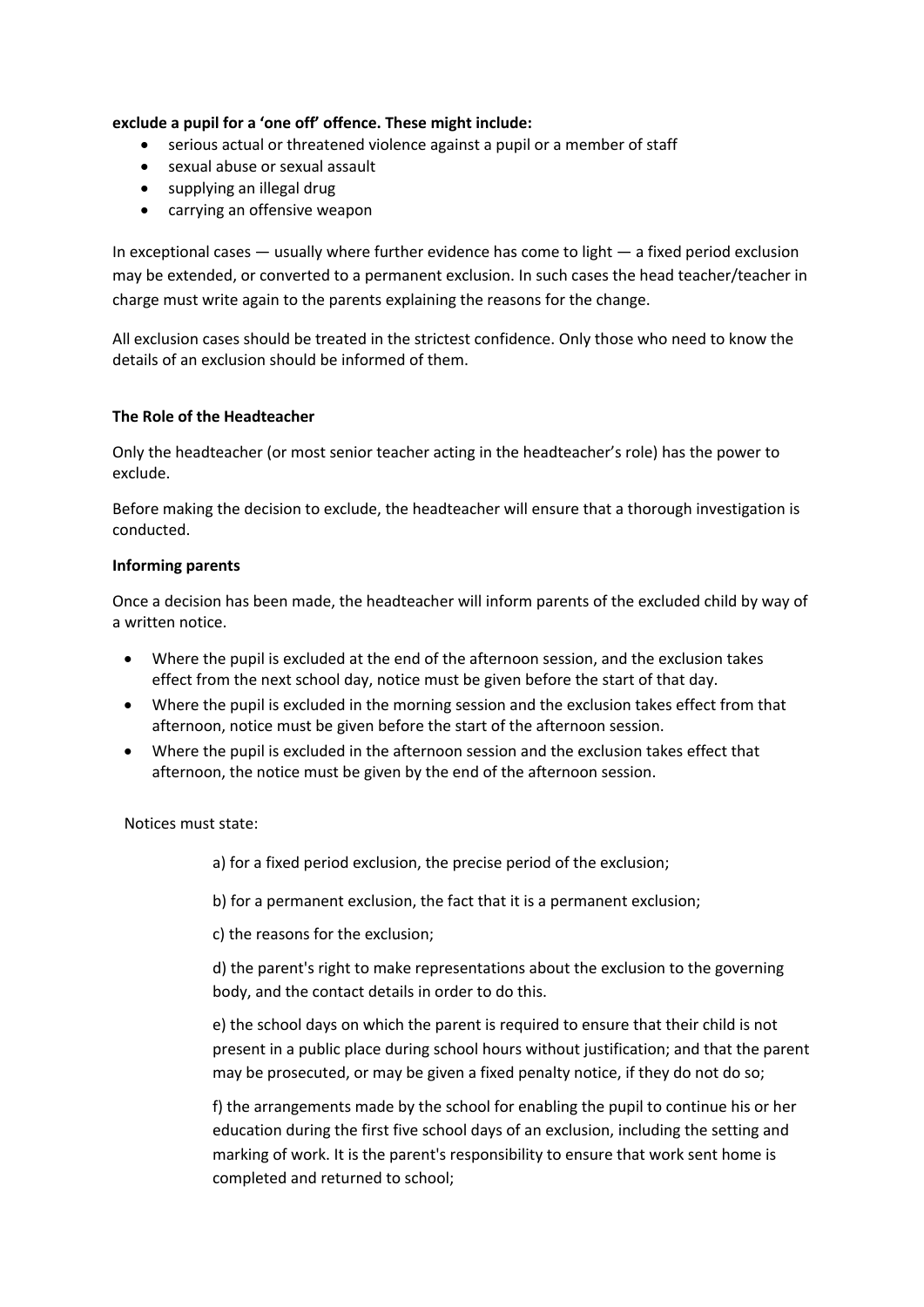# **exclude a pupil for a 'one off' offence. These might include:**

- serious actual or threatened violence against a pupil or a member of staff
- sexual abuse or sexual assault
- supplying an illegal drug
- carrying an offensive weapon

In exceptional cases  $-$  usually where further evidence has come to light  $-$  a fixed period exclusion may be extended, or converted to a permanent exclusion. In such cases the head teacher/teacher in charge must write again to the parents explaining the reasons for the change.

All exclusion cases should be treated in the strictest confidence. Only those who need to know the details of an exclusion should be informed of them.

# **The Role of the Headteacher**

Only the headteacher (or most senior teacher acting in the headteacher's role) has the power to exclude.

Before making the decision to exclude, the headteacher will ensure that a thorough investigation is conducted.

### **Informing parents**

Once a decision has been made, the headteacher will inform parents of the excluded child by way of a written notice.

- Where the pupil is excluded at the end of the afternoon session, and the exclusion takes effect from the next school day, notice must be given before the start of that day.
- Where the pupil is excluded in the morning session and the exclusion takes effect from that afternoon, notice must be given before the start of the afternoon session.
- Where the pupil is excluded in the afternoon session and the exclusion takes effect that afternoon, the notice must be given by the end of the afternoon session.

Notices must state:

a) for a fixed period exclusion, the precise period of the exclusion;

b) for a permanent exclusion, the fact that it is a permanent exclusion;

c) the reasons for the exclusion;

d) the parent's right to make representations about the exclusion to the governing body, and the contact details in order to do this.

e) the school days on which the parent is required to ensure that their child is not present in a public place during school hours without justification; and that the parent may be prosecuted, or may be given a fixed penalty notice, if they do not do so;

f) the arrangements made by the school for enabling the pupil to continue his or her education during the first five school days of an exclusion, including the setting and marking of work. It is the parent's responsibility to ensure that work sent home is completed and returned to school;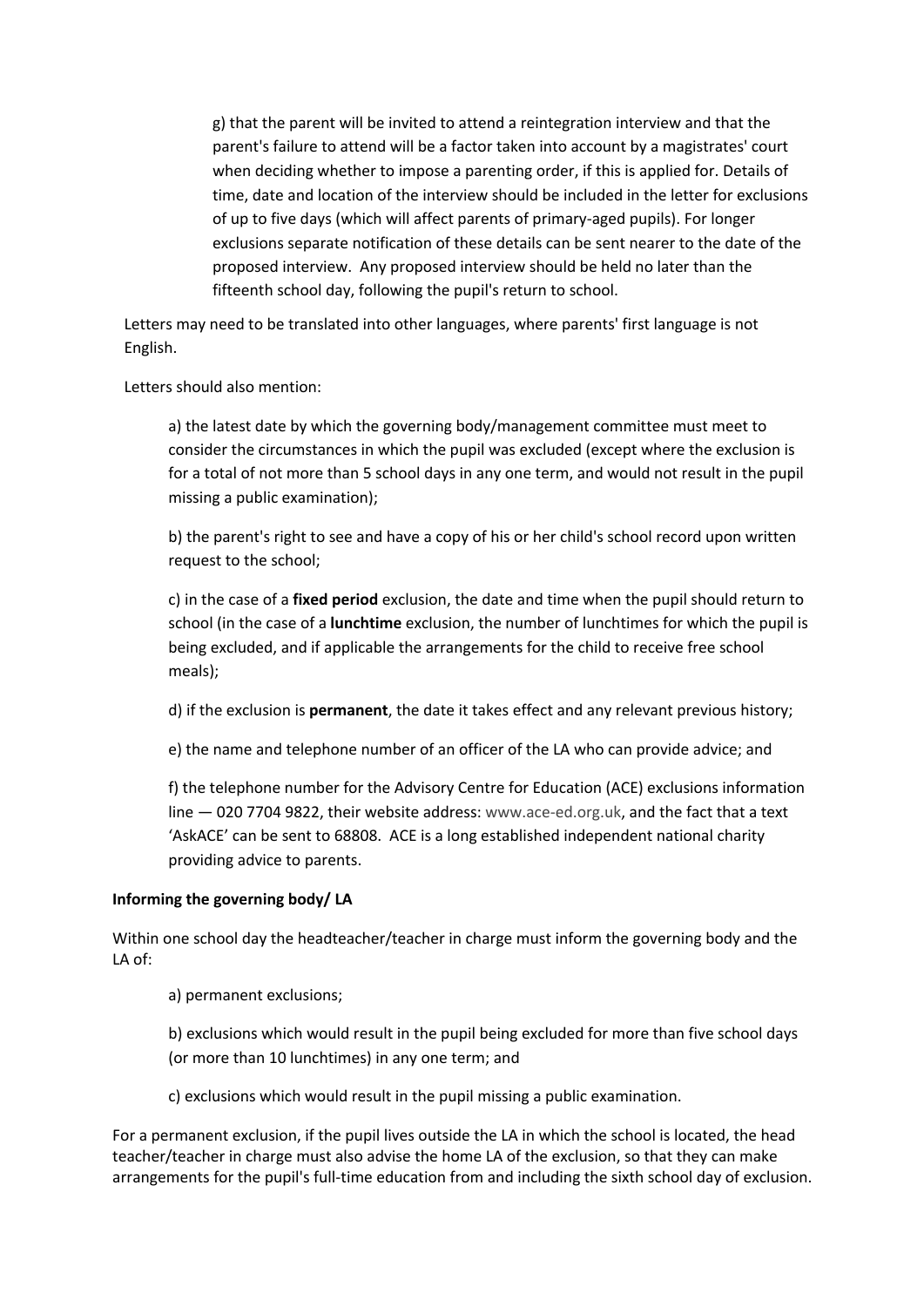g) that the parent will be invited to attend a reintegration interview and that the parent's failure to attend will be a factor taken into account by a magistrates' court when deciding whether to impose a parenting order, if this is applied for. Details of time, date and location of the interview should be included in the letter for exclusions of up to five days (which will affect parents of primary-aged pupils). For longer exclusions separate notification of these details can be sent nearer to the date of the proposed interview. Any proposed interview should be held no later than the fifteenth school day, following the pupil's return to school.

Letters may need to be translated into other languages, where parents' first language is not English.

Letters should also mention:

a) the latest date by which the governing body/management committee must meet to consider the circumstances in which the pupil was excluded (except where the exclusion is for a total of not more than 5 school days in any one term, and would not result in the pupil missing a public examination);

b) the parent's right to see and have a copy of his or her child's school record upon written request to the school;

c) in the case of a **fixed period** exclusion, the date and time when the pupil should return to school (in the case of a **lunchtime** exclusion, the number of lunchtimes for which the pupil is being excluded, and if applicable the arrangements for the child to receive free school meals);

d) if the exclusion is **permanent**, the date it takes effect and any relevant previous history;

e) the name and telephone number of an officer of the LA who can provide advice; and

f) the telephone number for the Advisory Centre for Education (ACE) exclusions information line — 020 7704 9822, their website address: www.ace-ed.org.uk, and the fact that a text 'AskACE' can be sent to 68808. ACE is a long established independent national charity providing advice to parents.

### **Informing the governing body/ LA**

Within one school day the headteacher/teacher in charge must inform the governing body and the LA of:

a) permanent exclusions;

b) exclusions which would result in the pupil being excluded for more than five school days (or more than 10 lunchtimes) in any one term; and

c) exclusions which would result in the pupil missing a public examination.

For a permanent exclusion, if the pupil lives outside the LA in which the school is located, the head teacher/teacher in charge must also advise the home LA of the exclusion, so that they can make arrangements for the pupil's full-time education from and including the sixth school day of exclusion.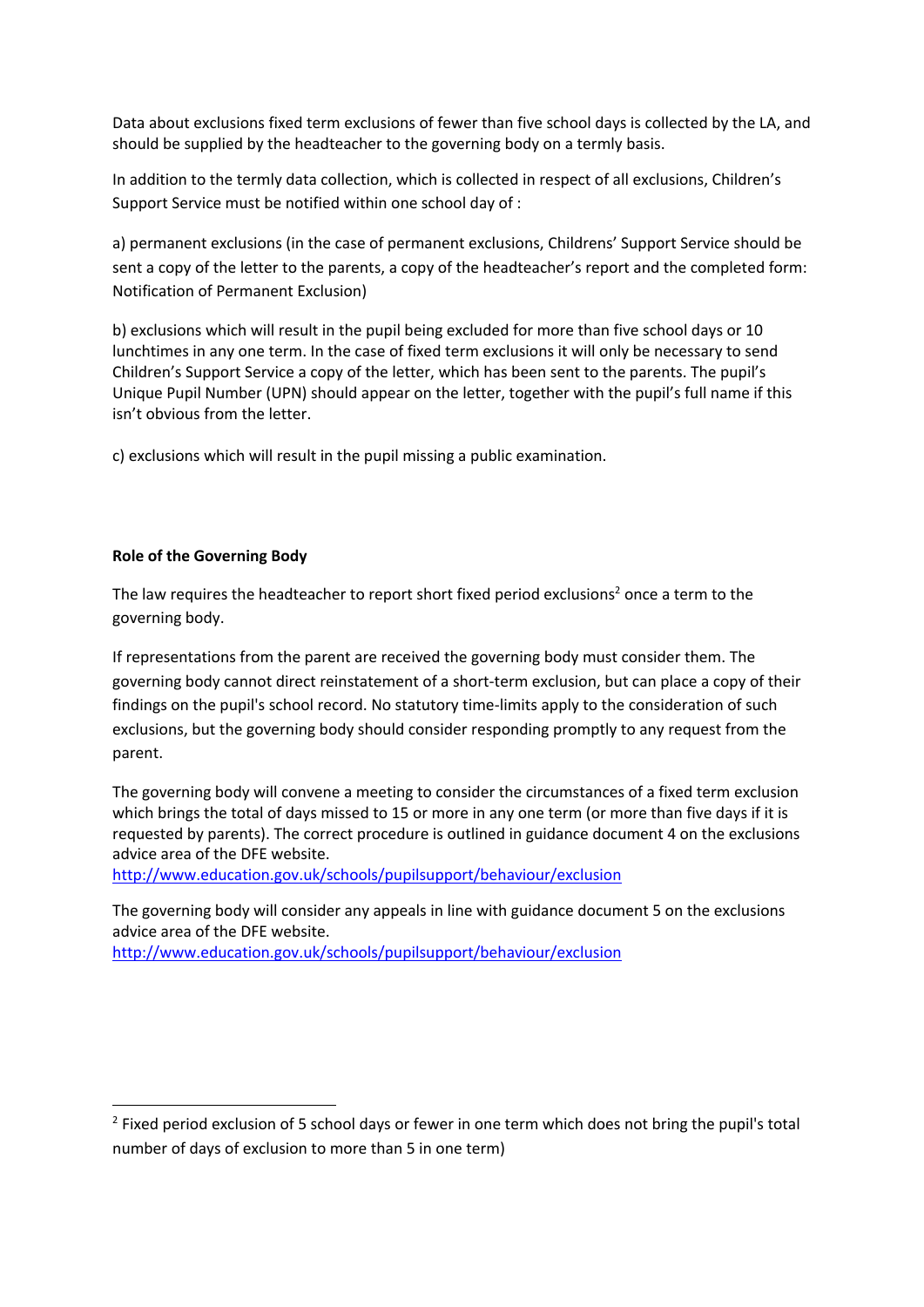Data about exclusions fixed term exclusions of fewer than five school days is collected by the LA, and should be supplied by the headteacher to the governing body on a termly basis.

In addition to the termly data collection, which is collected in respect of all exclusions, Children's Support Service must be notified within one school day of :

a) permanent exclusions (in the case of permanent exclusions, Childrens' Support Service should be sent a copy of the letter to the parents, a copy of the headteacher's report and the completed form: Notification of Permanent Exclusion)

b) exclusions which will result in the pupil being excluded for more than five school days or 10 lunchtimes in any one term. In the case of fixed term exclusions it will only be necessary to send Children's Support Service a copy of the letter, which has been sent to the parents. The pupil's Unique Pupil Number (UPN) should appear on the letter, together with the pupil's full name if this isn't obvious from the letter.

c) exclusions which will result in the pupil missing a public examination.

# **Role of the Governing Body**

The law requires the headteacher to report short fixed period exclusions<sup>2</sup> once a term to the governing body.

If representations from the parent are received the governing body must consider them. The governing body cannot direct reinstatement of a short-term exclusion, but can place a copy of their findings on the pupil's school record. No statutory time-limits apply to the consideration of such exclusions, but the governing body should consider responding promptly to any request from the parent.

The governing body will convene a meeting to consider the circumstances of a fixed term exclusion which brings the total of days missed to 15 or more in any one term (or more than five days if it is requested by parents). The correct procedure is outlined in guidance document 4 on the exclusions advice area of the DFE website.

http://www.education.gov.uk/schools/pupilsupport/behaviour/exclusion

The governing body will consider any appeals in line with guidance document 5 on the exclusions advice area of the DFE website. http://www.education.gov.uk/schools/pupilsupport/behaviour/exclusion

 $<sup>2</sup>$  Fixed period exclusion of 5 school days or fewer in one term which does not bring the pupil's total</sup> number of days of exclusion to more than 5 in one term)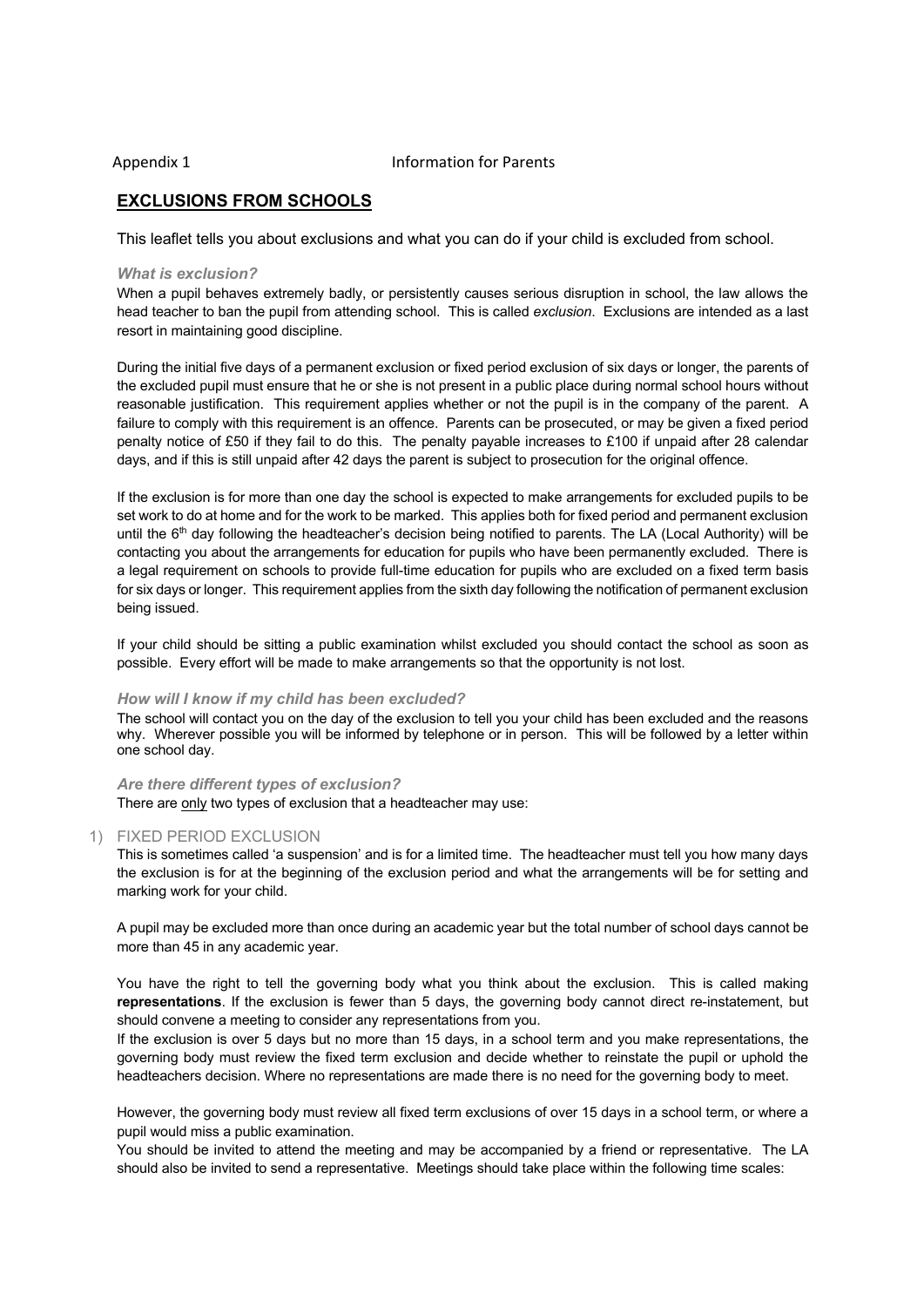### Appendix 1 and 1 Information for Parents

# **EXCLUSIONS FROM SCHOOLS**

This leaflet tells you about exclusions and what you can do if your child is excluded from school.

#### *What is exclusion?*

When a pupil behaves extremely badly, or persistently causes serious disruption in school, the law allows the head teacher to ban the pupil from attending school. This is called *exclusion*. Exclusions are intended as a last resort in maintaining good discipline.

During the initial five days of a permanent exclusion or fixed period exclusion of six days or longer, the parents of the excluded pupil must ensure that he or she is not present in a public place during normal school hours without reasonable justification. This requirement applies whether or not the pupil is in the company of the parent. A failure to comply with this requirement is an offence. Parents can be prosecuted, or may be given a fixed period penalty notice of £50 if they fail to do this. The penalty payable increases to £100 if unpaid after 28 calendar days, and if this is still unpaid after 42 days the parent is subject to prosecution for the original offence.

If the exclusion is for more than one day the school is expected to make arrangements for excluded pupils to be set work to do at home and for the work to be marked. This applies both for fixed period and permanent exclusion until the 6<sup>th</sup> day following the headteacher's decision being notified to parents. The LA (Local Authority) will be contacting you about the arrangements for education for pupils who have been permanently excluded. There is a legal requirement on schools to provide full-time education for pupils who are excluded on a fixed term basis for six days or longer. This requirement applies from the sixth day following the notification of permanent exclusion being issued.

If your child should be sitting a public examination whilst excluded you should contact the school as soon as possible. Every effort will be made to make arrangements so that the opportunity is not lost.

#### *How will I know if my child has been excluded?*

The school will contact you on the day of the exclusion to tell you your child has been excluded and the reasons why. Wherever possible you will be informed by telephone or in person. This will be followed by a letter within one school day.

#### *Are there different types of exclusion?*

There are only two types of exclusion that a headteacher may use:

### 1) FIXED PERIOD EXCLUSION

This is sometimes called 'a suspension' and is for a limited time. The headteacher must tell you how many days the exclusion is for at the beginning of the exclusion period and what the arrangements will be for setting and marking work for your child.

A pupil may be excluded more than once during an academic year but the total number of school days cannot be more than 45 in any academic year.

You have the right to tell the governing body what you think about the exclusion. This is called making **representations**. If the exclusion is fewer than 5 days, the governing body cannot direct re-instatement, but should convene a meeting to consider any representations from you.

If the exclusion is over 5 days but no more than 15 days, in a school term and you make representations, the governing body must review the fixed term exclusion and decide whether to reinstate the pupil or uphold the headteachers decision. Where no representations are made there is no need for the governing body to meet.

However, the governing body must review all fixed term exclusions of over 15 days in a school term, or where a pupil would miss a public examination.

You should be invited to attend the meeting and may be accompanied by a friend or representative. The LA should also be invited to send a representative. Meetings should take place within the following time scales: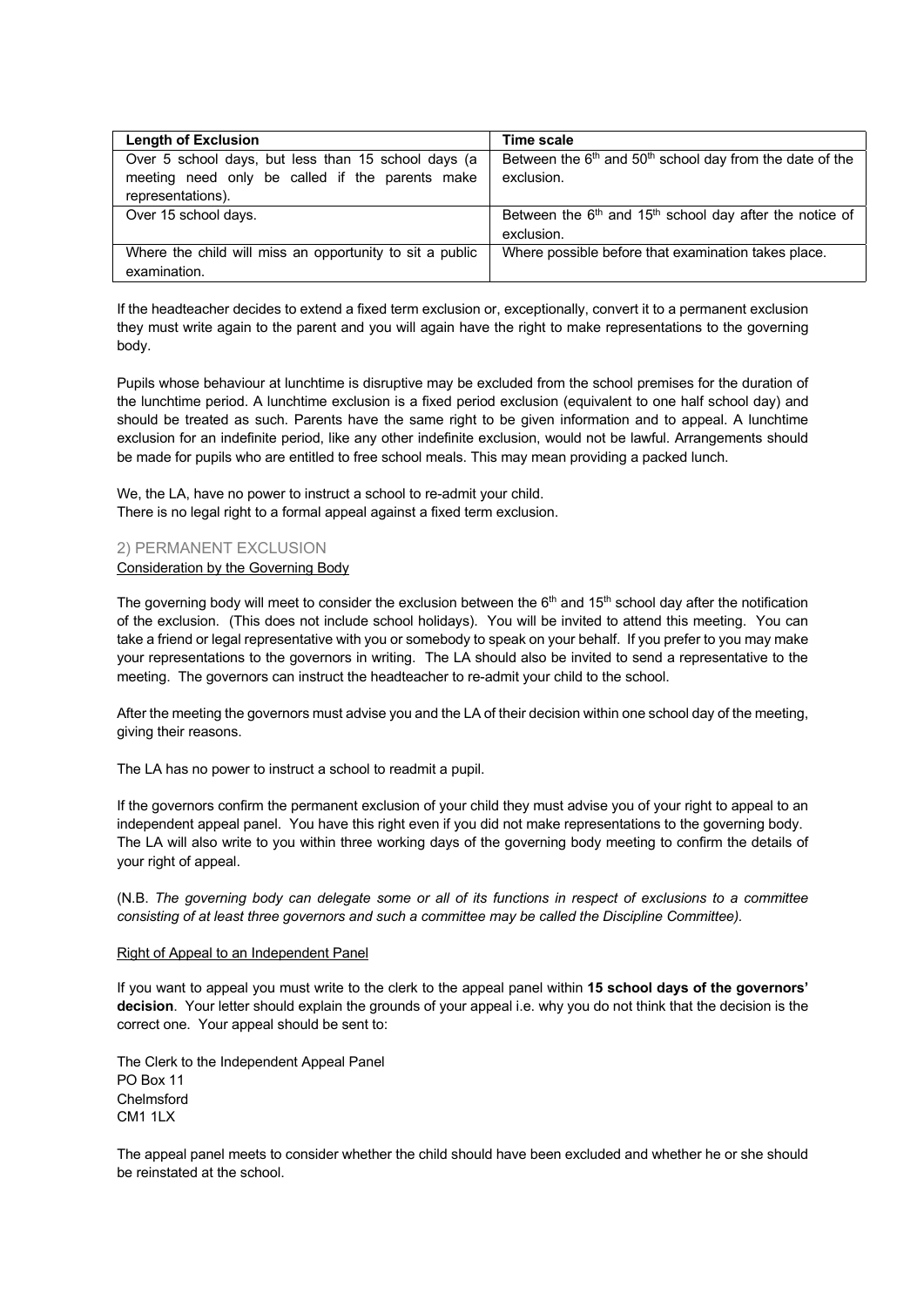| <b>Length of Exclusion</b>                                                                             | Time scale                                                                 |
|--------------------------------------------------------------------------------------------------------|----------------------------------------------------------------------------|
| Over 5 school days, but less than 15 school days (a<br>meeting need only be called if the parents make | Between the $6th$ and $50th$ school day from the date of the<br>exclusion. |
| representations).                                                                                      |                                                                            |
| Over 15 school days.                                                                                   | Between the $6th$ and 15 <sup>th</sup> school day after the notice of      |
|                                                                                                        | exclusion.                                                                 |
| Where the child will miss an opportunity to sit a public                                               | Where possible before that examination takes place.                        |
| examination.                                                                                           |                                                                            |

If the headteacher decides to extend a fixed term exclusion or, exceptionally, convert it to a permanent exclusion they must write again to the parent and you will again have the right to make representations to the governing body.

Pupils whose behaviour at lunchtime is disruptive may be excluded from the school premises for the duration of the lunchtime period. A lunchtime exclusion is a fixed period exclusion (equivalent to one half school day) and should be treated as such. Parents have the same right to be given information and to appeal. A lunchtime exclusion for an indefinite period, like any other indefinite exclusion, would not be lawful. Arrangements should be made for pupils who are entitled to free school meals. This may mean providing a packed lunch.

We, the LA, have no power to instruct a school to re-admit your child. There is no legal right to a formal appeal against a fixed term exclusion.

### 2) PERMANENT EXCLUSION Consideration by the Governing Body

The governing body will meet to consider the exclusion between the  $6<sup>th</sup>$  and  $15<sup>th</sup>$  school day after the notification of the exclusion. (This does not include school holidays). You will be invited to attend this meeting. You can take a friend or legal representative with you or somebody to speak on your behalf. If you prefer to you may make your representations to the governors in writing. The LA should also be invited to send a representative to the meeting. The governors can instruct the headteacher to re-admit your child to the school.

After the meeting the governors must advise you and the LA of their decision within one school day of the meeting, giving their reasons.

The LA has no power to instruct a school to readmit a pupil.

If the governors confirm the permanent exclusion of your child they must advise you of your right to appeal to an independent appeal panel. You have this right even if you did not make representations to the governing body. The LA will also write to you within three working days of the governing body meeting to confirm the details of your right of appeal.

(N.B. *The governing body can delegate some or all of its functions in respect of exclusions to a committee consisting of at least three governors and such a committee may be called the Discipline Committee).*

### Right of Appeal to an Independent Panel

If you want to appeal you must write to the clerk to the appeal panel within **15 school days of the governors' decision**. Your letter should explain the grounds of your appeal i.e. why you do not think that the decision is the correct one. Your appeal should be sent to:

The Clerk to the Independent Appeal Panel PO Box 11 Chelmsford CM1 1LX

The appeal panel meets to consider whether the child should have been excluded and whether he or she should be reinstated at the school.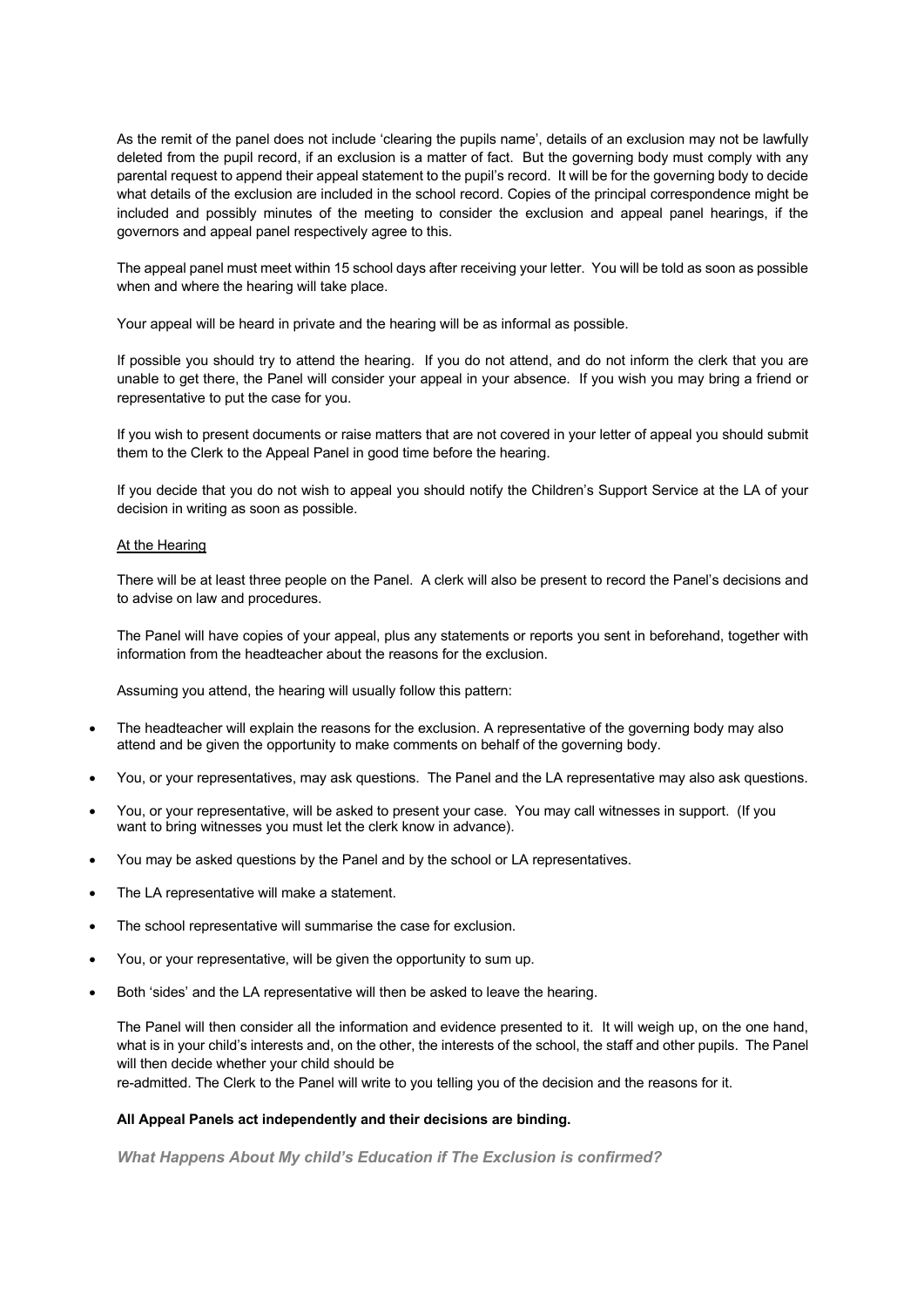As the remit of the panel does not include 'clearing the pupils name', details of an exclusion may not be lawfully deleted from the pupil record, if an exclusion is a matter of fact. But the governing body must comply with any parental request to append their appeal statement to the pupil's record. It will be for the governing body to decide what details of the exclusion are included in the school record. Copies of the principal correspondence might be included and possibly minutes of the meeting to consider the exclusion and appeal panel hearings, if the governors and appeal panel respectively agree to this.

The appeal panel must meet within 15 school days after receiving your letter. You will be told as soon as possible when and where the hearing will take place.

Your appeal will be heard in private and the hearing will be as informal as possible.

If possible you should try to attend the hearing. If you do not attend, and do not inform the clerk that you are unable to get there, the Panel will consider your appeal in your absence. If you wish you may bring a friend or representative to put the case for you.

If you wish to present documents or raise matters that are not covered in your letter of appeal you should submit them to the Clerk to the Appeal Panel in good time before the hearing.

If you decide that you do not wish to appeal you should notify the Children's Support Service at the LA of your decision in writing as soon as possible.

#### At the Hearing

There will be at least three people on the Panel. A clerk will also be present to record the Panel's decisions and to advise on law and procedures.

The Panel will have copies of your appeal, plus any statements or reports you sent in beforehand, together with information from the headteacher about the reasons for the exclusion.

Assuming you attend, the hearing will usually follow this pattern:

- The headteacher will explain the reasons for the exclusion. A representative of the governing body may also attend and be given the opportunity to make comments on behalf of the governing body.
- You, or your representatives, may ask questions. The Panel and the LA representative may also ask questions.
- You, or your representative, will be asked to present your case. You may call witnesses in support. (If you want to bring witnesses you must let the clerk know in advance).
- You may be asked questions by the Panel and by the school or LA representatives.
- The LA representative will make a statement.
- The school representative will summarise the case for exclusion.
- You, or your representative, will be given the opportunity to sum up.
- Both 'sides' and the LA representative will then be asked to leave the hearing.

The Panel will then consider all the information and evidence presented to it. It will weigh up, on the one hand, what is in your child's interests and, on the other, the interests of the school, the staff and other pupils. The Panel will then decide whether your child should be

re-admitted. The Clerk to the Panel will write to you telling you of the decision and the reasons for it.

#### **All Appeal Panels act independently and their decisions are binding.**

*What Happens About My child's Education if The Exclusion is confirmed?*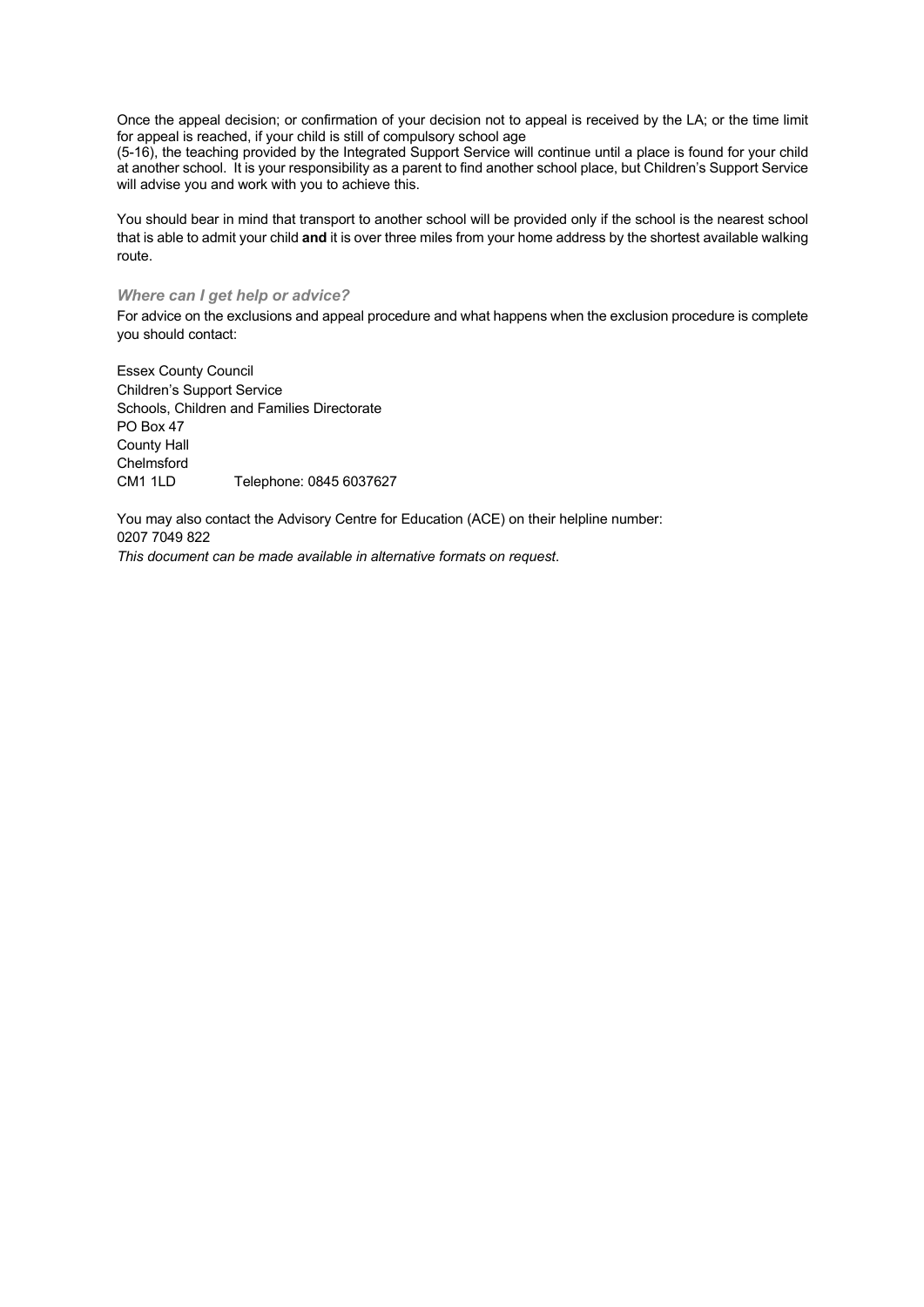Once the appeal decision; or confirmation of your decision not to appeal is received by the LA; or the time limit for appeal is reached, if your child is still of compulsory school age

(5-16), the teaching provided by the Integrated Support Service will continue until a place is found for your child at another school. It is your responsibility as a parent to find another school place, but Children's Support Service will advise you and work with you to achieve this.

You should bear in mind that transport to another school will be provided only if the school is the nearest school that is able to admit your child **and** it is over three miles from your home address by the shortest available walking route.

#### *Where can I get help or advice?*

For advice on the exclusions and appeal procedure and what happens when the exclusion procedure is complete you should contact:

Essex County Council Children's Support Service Schools, Children and Families Directorate PO Box 47 County Hall **Chelmsford** CM1 1LD Telephone: 0845 6037627

You may also contact the Advisory Centre for Education (ACE) on their helpline number: 0207 7049 822

*This document can be made available in alternative formats on request*.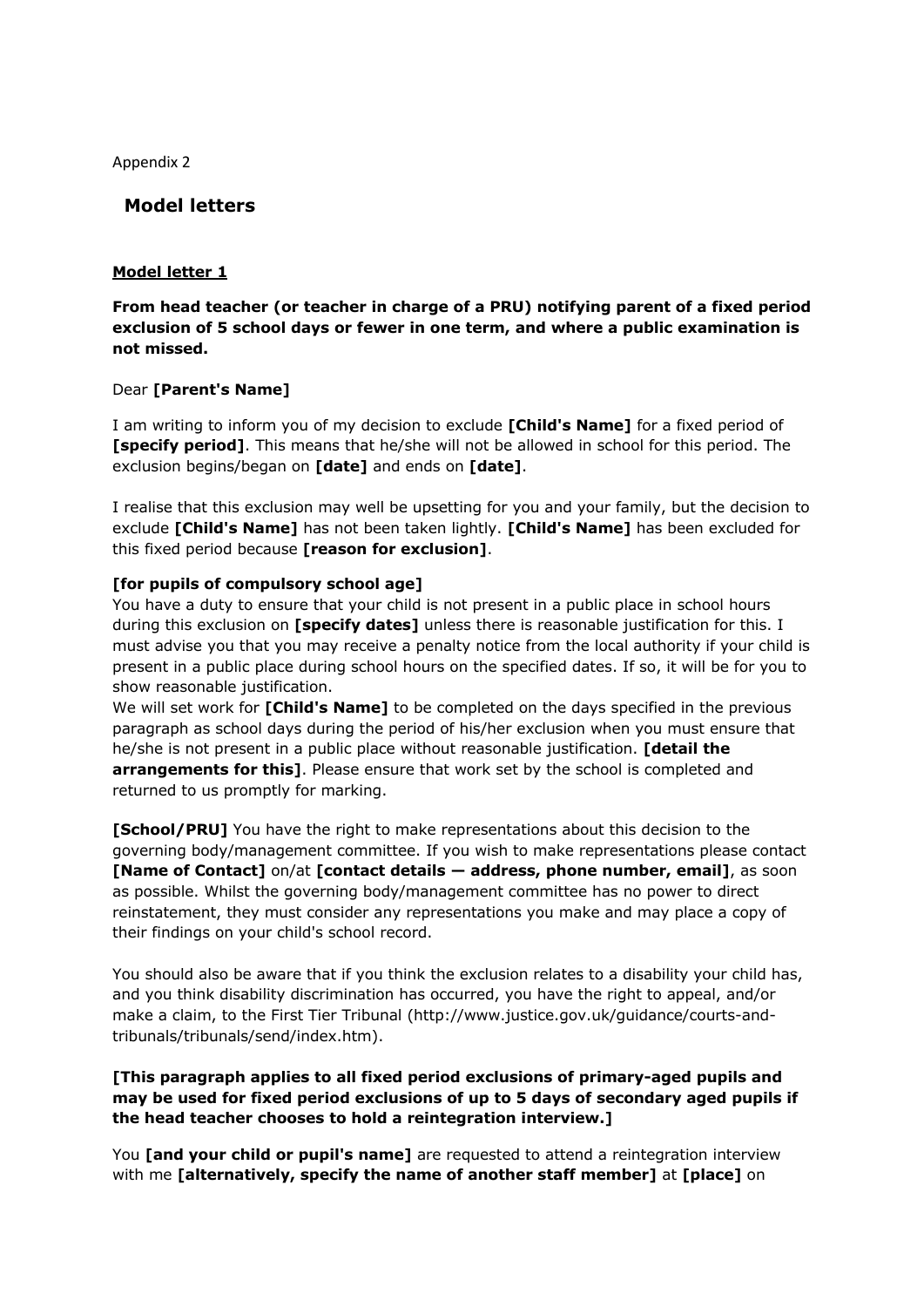Appendix 2

**Model letters**

# **Model letter 1**

**From head teacher (or teacher in charge of a PRU) notifying parent of a fixed period exclusion of 5 school days or fewer in one term, and where a public examination is not missed.**

# Dear **[Parent's Name]**

I am writing to inform you of my decision to exclude **[Child's Name]** for a fixed period of **[specify period]**. This means that he/she will not be allowed in school for this period. The exclusion begins/began on **[date]** and ends on **[date]**.

I realise that this exclusion may well be upsetting for you and your family, but the decision to exclude **[Child's Name]** has not been taken lightly. **[Child's Name]** has been excluded for this fixed period because **[reason for exclusion]**.

# **[for pupils of compulsory school age]**

You have a duty to ensure that your child is not present in a public place in school hours during this exclusion on **[specify dates]** unless there is reasonable justification for this. I must advise you that you may receive a penalty notice from the local authority if your child is present in a public place during school hours on the specified dates. If so, it will be for you to show reasonable justification.

We will set work for **[Child's Name]** to be completed on the days specified in the previous paragraph as school days during the period of his/her exclusion when you must ensure that he/she is not present in a public place without reasonable justification. **[detail the arrangements for this]**. Please ensure that work set by the school is completed and returned to us promptly for marking.

**[School/PRU]** You have the right to make representations about this decision to the governing body/management committee. If you wish to make representations please contact **[Name of Contact]** on/at **[contact details — address, phone number, email]**, as soon as possible. Whilst the governing body/management committee has no power to direct reinstatement, they must consider any representations you make and may place a copy of their findings on your child's school record.

You should also be aware that if you think the exclusion relates to a disability your child has, and you think disability discrimination has occurred, you have the right to appeal, and/or make a claim, to the First Tier Tribunal (http://www.justice.gov.uk/guidance/courts-andtribunals/tribunals/send/index.htm).

# **[This paragraph applies to all fixed period exclusions of primary-aged pupils and may be used for fixed period exclusions of up to 5 days of secondary aged pupils if the head teacher chooses to hold a reintegration interview.]**

You **[and your child or pupil's name]** are requested to attend a reintegration interview with me **[alternatively, specify the name of another staff member]** at **[place]** on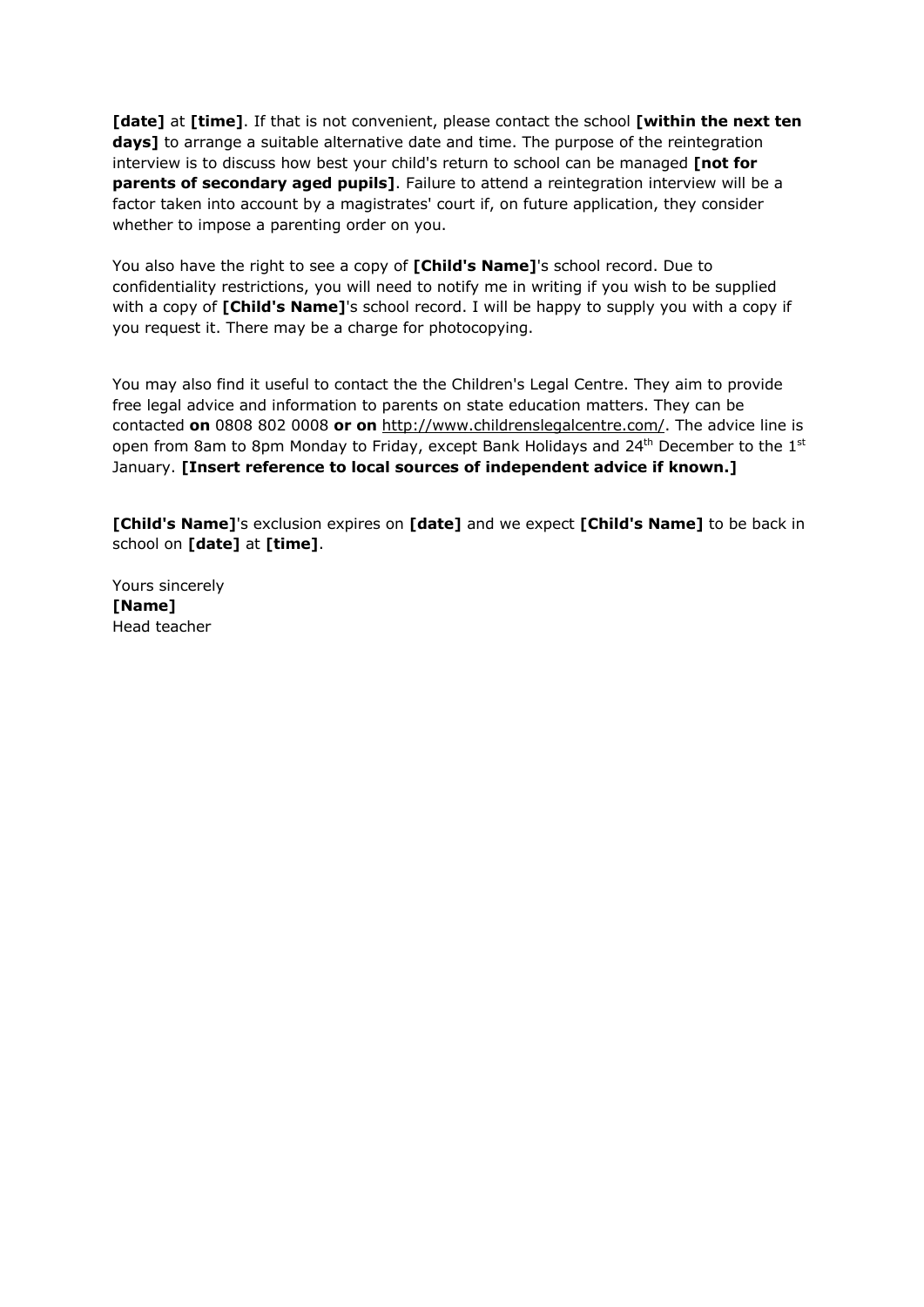**[date]** at **[time]**. If that is not convenient, please contact the school **[within the next ten days]** to arrange a suitable alternative date and time. The purpose of the reintegration interview is to discuss how best your child's return to school can be managed **[not for parents of secondary aged pupils]**. Failure to attend a reintegration interview will be a factor taken into account by a magistrates' court if, on future application, they consider whether to impose a parenting order on you.

You also have the right to see a copy of **[Child's Name]**'s school record. Due to confidentiality restrictions, you will need to notify me in writing if you wish to be supplied with a copy of **[Child's Name]**'s school record. I will be happy to supply you with a copy if you request it. There may be a charge for photocopying.

You may also find it useful to contact the the Children's Legal Centre. They aim to provide free legal advice and information to parents on state education matters. They can be contacted **on** 0808 802 0008 **or on** http://www.childrenslegalcentre.com/. The advice line is open from 8am to 8pm Monday to Friday, except Bank Holidays and  $24<sup>th</sup>$  December to the  $1<sup>st</sup>$ January. **[Insert reference to local sources of independent advice if known.]**

**[Child's Name]**'s exclusion expires on **[date]** and we expect **[Child's Name]** to be back in school on **[date]** at **[time]**.

Yours sincerely **[Name]**  Head teacher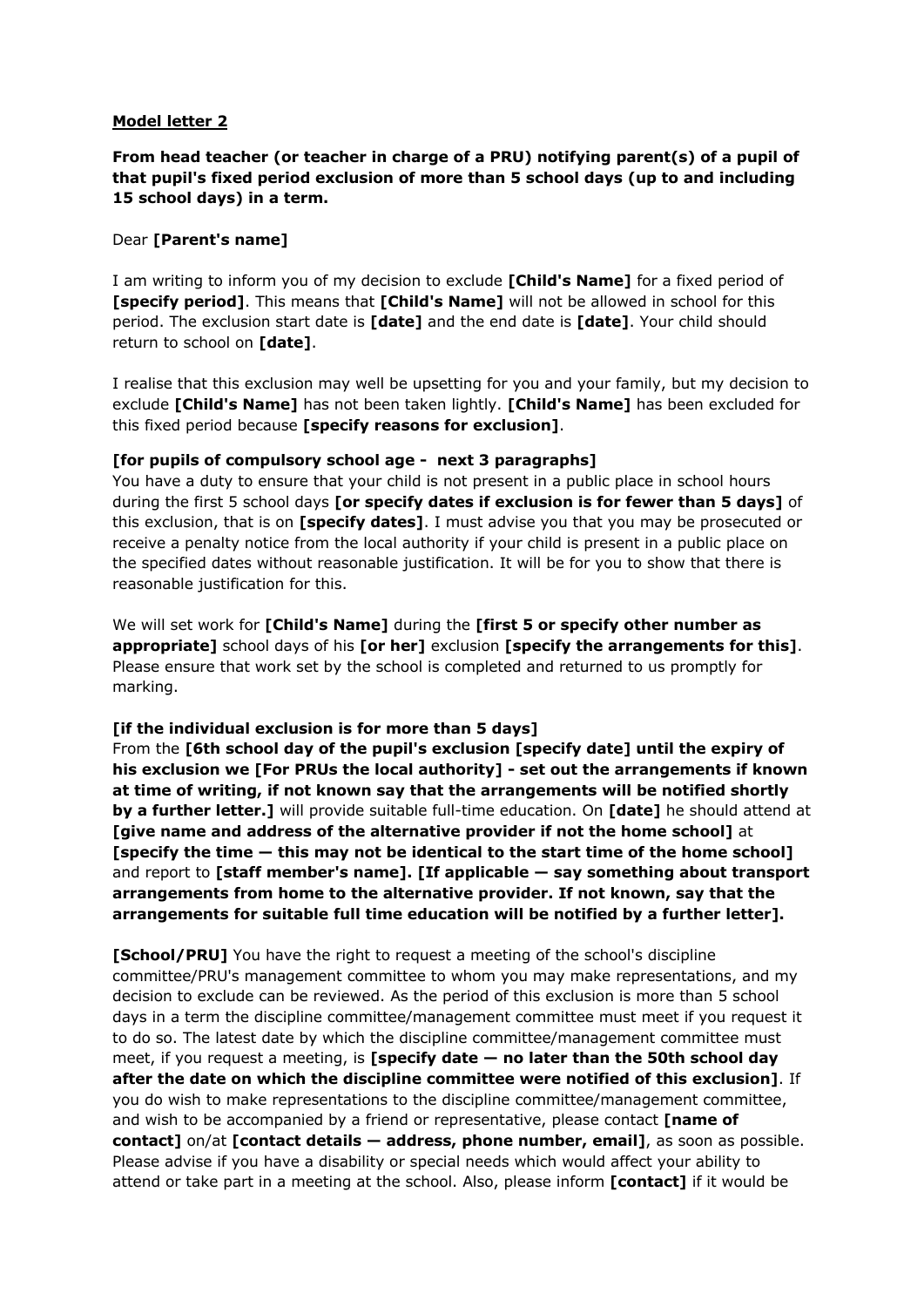**From head teacher (or teacher in charge of a PRU) notifying parent(s) of a pupil of that pupil's fixed period exclusion of more than 5 school days (up to and including 15 school days) in a term.**

### Dear **[Parent's name]**

I am writing to inform you of my decision to exclude **[Child's Name]** for a fixed period of **[specify period]**. This means that **[Child's Name]** will not be allowed in school for this period. The exclusion start date is **[date]** and the end date is **[date]**. Your child should return to school on **[date]**.

I realise that this exclusion may well be upsetting for you and your family, but my decision to exclude **[Child's Name]** has not been taken lightly. **[Child's Name]** has been excluded for this fixed period because **[specify reasons for exclusion]**.

### **[for pupils of compulsory school age - next 3 paragraphs]**

You have a duty to ensure that your child is not present in a public place in school hours during the first 5 school days **[or specify dates if exclusion is for fewer than 5 days]** of this exclusion, that is on **[specify dates]**. I must advise you that you may be prosecuted or receive a penalty notice from the local authority if your child is present in a public place on the specified dates without reasonable justification. It will be for you to show that there is reasonable justification for this.

We will set work for **[Child's Name]** during the **[first 5 or specify other number as appropriate]** school days of his **[or her]** exclusion **[specify the arrangements for this]**. Please ensure that work set by the school is completed and returned to us promptly for marking.

### **[if the individual exclusion is for more than 5 days]**

From the **[6th school day of the pupil's exclusion [specify date] until the expiry of his exclusion we [For PRUs the local authority] - set out the arrangements if known at time of writing, if not known say that the arrangements will be notified shortly by a further letter.]** will provide suitable full-time education. On **[date]** he should attend at **[give name and address of the alternative provider if not the home school]** at **[specify the time — this may not be identical to the start time of the home school]** and report to **[staff member's name]. [If applicable — say something about transport arrangements from home to the alternative provider. If not known, say that the arrangements for suitable full time education will be notified by a further letter].**

**[School/PRU]** You have the right to request a meeting of the school's discipline committee/PRU's management committee to whom you may make representations, and my decision to exclude can be reviewed. As the period of this exclusion is more than 5 school days in a term the discipline committee/management committee must meet if you request it to do so. The latest date by which the discipline committee/management committee must meet, if you request a meeting, is **[specify date — no later than the 50th school day after the date on which the discipline committee were notified of this exclusion]**. If you do wish to make representations to the discipline committee/management committee, and wish to be accompanied by a friend or representative, please contact **[name of contact]** on/at **[contact details — address, phone number, email]**, as soon as possible. Please advise if you have a disability or special needs which would affect your ability to attend or take part in a meeting at the school. Also, please inform **[contact]** if it would be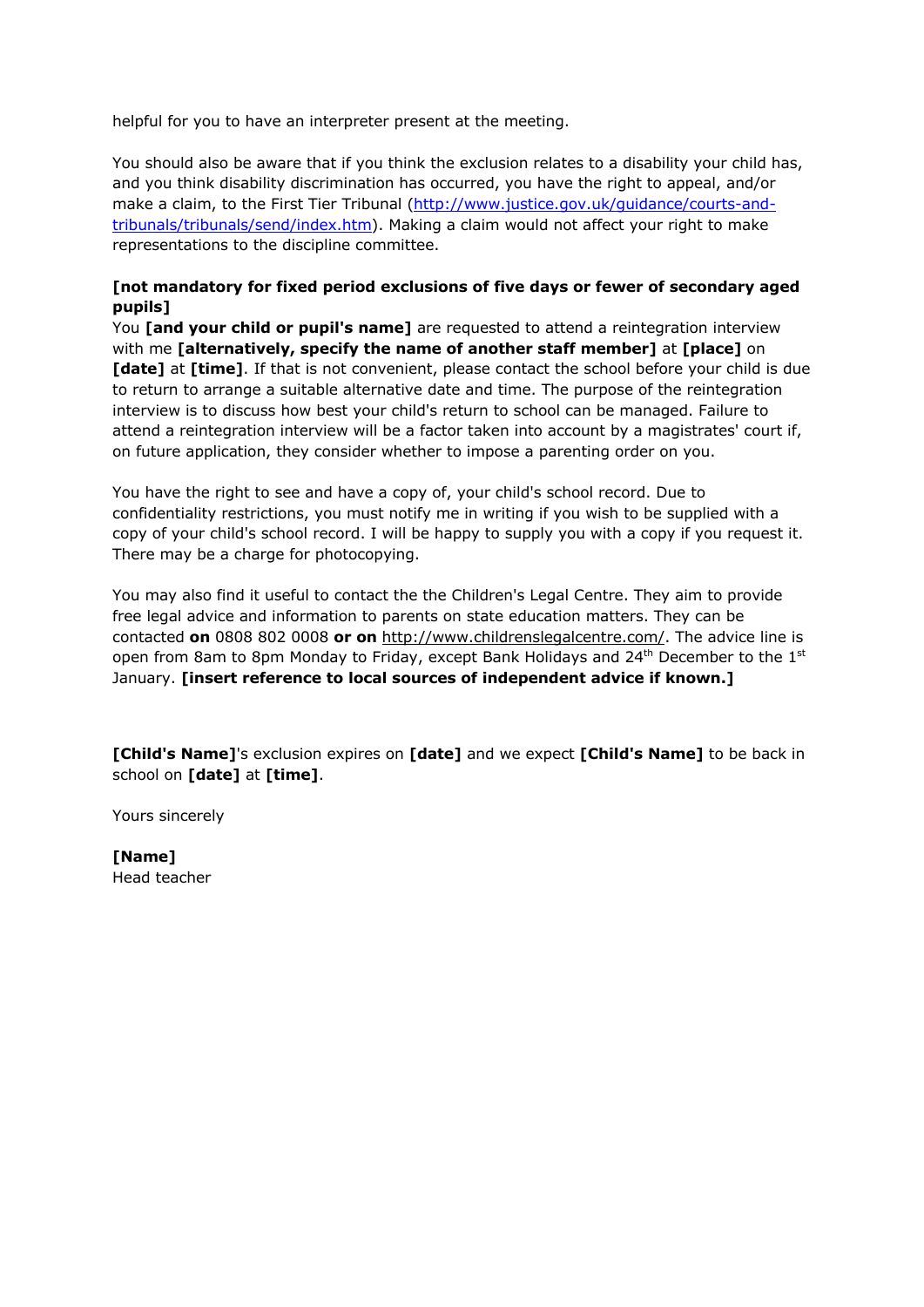helpful for you to have an interpreter present at the meeting.

You should also be aware that if you think the exclusion relates to a disability your child has, and you think disability discrimination has occurred, you have the right to appeal, and/or make a claim, to the First Tier Tribunal (http://www.justice.gov.uk/guidance/courts-andtribunals/tribunals/send/index.htm). Making a claim would not affect your right to make representations to the discipline committee.

# **[not mandatory for fixed period exclusions of five days or fewer of secondary aged pupils]**

You **[and your child or pupil's name]** are requested to attend a reintegration interview with me **[alternatively, specify the name of another staff member]** at **[place]** on **[date]** at **[time]**. If that is not convenient, please contact the school before your child is due to return to arrange a suitable alternative date and time. The purpose of the reintegration interview is to discuss how best your child's return to school can be managed. Failure to attend a reintegration interview will be a factor taken into account by a magistrates' court if, on future application, they consider whether to impose a parenting order on you.

You have the right to see and have a copy of, your child's school record. Due to confidentiality restrictions, you must notify me in writing if you wish to be supplied with a copy of your child's school record. I will be happy to supply you with a copy if you request it. There may be a charge for photocopying.

You may also find it useful to contact the the Children's Legal Centre. They aim to provide free legal advice and information to parents on state education matters. They can be contacted **on** 0808 802 0008 **or on** http://www.childrenslegalcentre.com/. The advice line is open from 8am to 8pm Monday to Friday, except Bank Holidays and  $24<sup>th</sup>$  December to the  $1<sup>st</sup>$ January. **[insert reference to local sources of independent advice if known.]**

**[Child's Name]**'s exclusion expires on **[date]** and we expect **[Child's Name]** to be back in school on **[date]** at **[time]**.

Yours sincerely

**[Name]**  Head teacher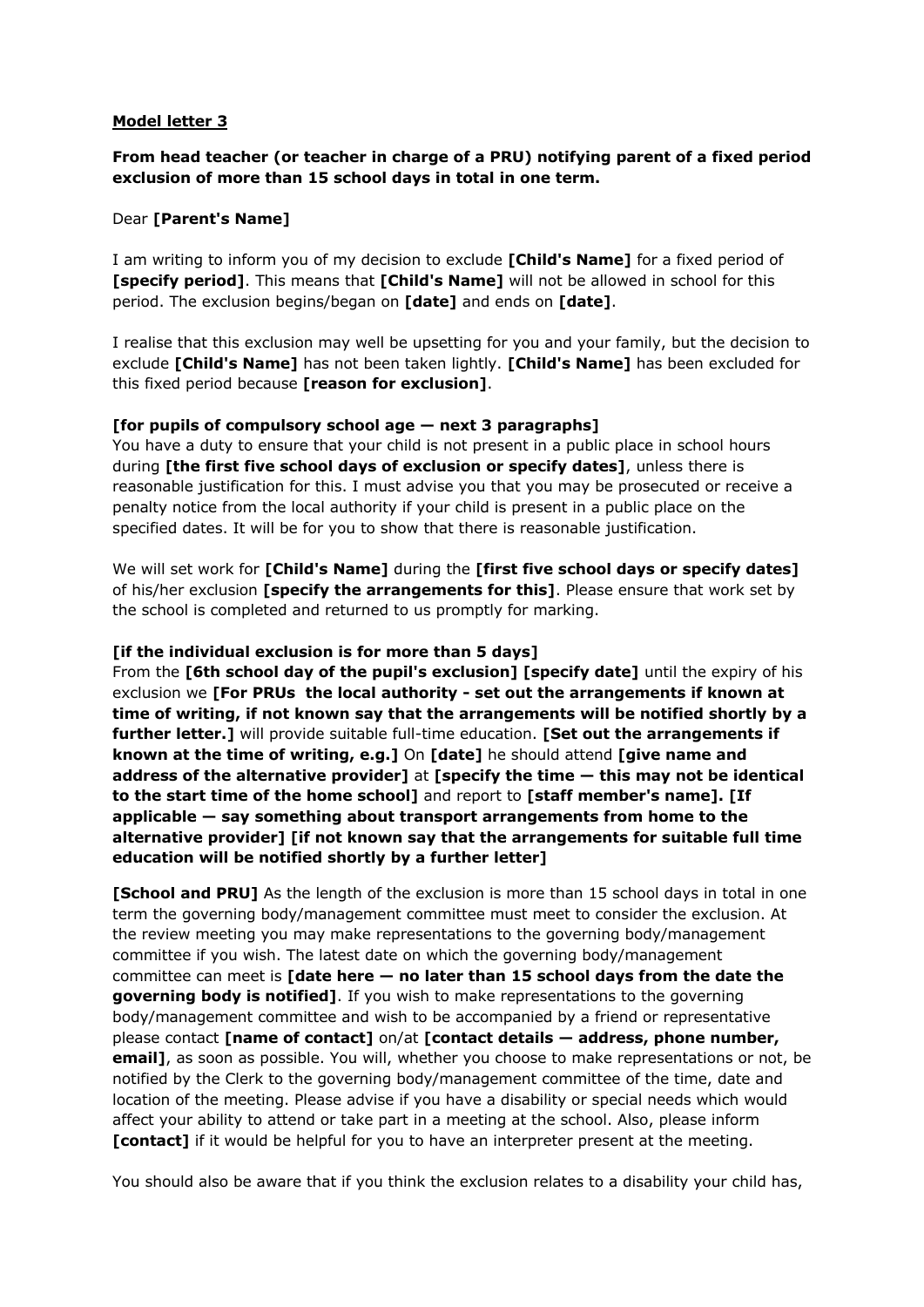# **From head teacher (or teacher in charge of a PRU) notifying parent of a fixed period exclusion of more than 15 school days in total in one term.**

### Dear **[Parent's Name]**

I am writing to inform you of my decision to exclude **[Child's Name]** for a fixed period of **[specify period]**. This means that **[Child's Name]** will not be allowed in school for this period. The exclusion begins/began on **[date]** and ends on **[date]**.

I realise that this exclusion may well be upsetting for you and your family, but the decision to exclude **[Child's Name]** has not been taken lightly. **[Child's Name]** has been excluded for this fixed period because **[reason for exclusion]**.

### **[for pupils of compulsory school age — next 3 paragraphs]**

You have a duty to ensure that your child is not present in a public place in school hours during **[the first five school days of exclusion or specify dates]**, unless there is reasonable justification for this. I must advise you that you may be prosecuted or receive a penalty notice from the local authority if your child is present in a public place on the specified dates. It will be for you to show that there is reasonable justification.

We will set work for **[Child's Name]** during the **[first five school days or specify dates]** of his/her exclusion **[specify the arrangements for this]**. Please ensure that work set by the school is completed and returned to us promptly for marking.

### **[if the individual exclusion is for more than 5 days]**

From the **[6th school day of the pupil's exclusion] [specify date]** until the expiry of his exclusion we **[For PRUs the local authority - set out the arrangements if known at time of writing, if not known say that the arrangements will be notified shortly by a further letter.]** will provide suitable full-time education. **[Set out the arrangements if known at the time of writing, e.g.]** On **[date]** he should attend **[give name and address of the alternative provider]** at **[specify the time — this may not be identical to the start time of the home school]** and report to **[staff member's name]. [If applicable — say something about transport arrangements from home to the alternative provider] [if not known say that the arrangements for suitable full time education will be notified shortly by a further letter]**

**[School and PRU]** As the length of the exclusion is more than 15 school days in total in one term the governing body/management committee must meet to consider the exclusion. At the review meeting you may make representations to the governing body/management committee if you wish. The latest date on which the governing body/management committee can meet is **[date here — no later than 15 school days from the date the governing body is notified]**. If you wish to make representations to the governing body/management committee and wish to be accompanied by a friend or representative please contact **[name of contact]** on/at **[contact details — address, phone number, email]**, as soon as possible. You will, whether you choose to make representations or not, be notified by the Clerk to the governing body/management committee of the time, date and location of the meeting. Please advise if you have a disability or special needs which would affect your ability to attend or take part in a meeting at the school. Also, please inform **[contact]** if it would be helpful for you to have an interpreter present at the meeting.

You should also be aware that if you think the exclusion relates to a disability your child has,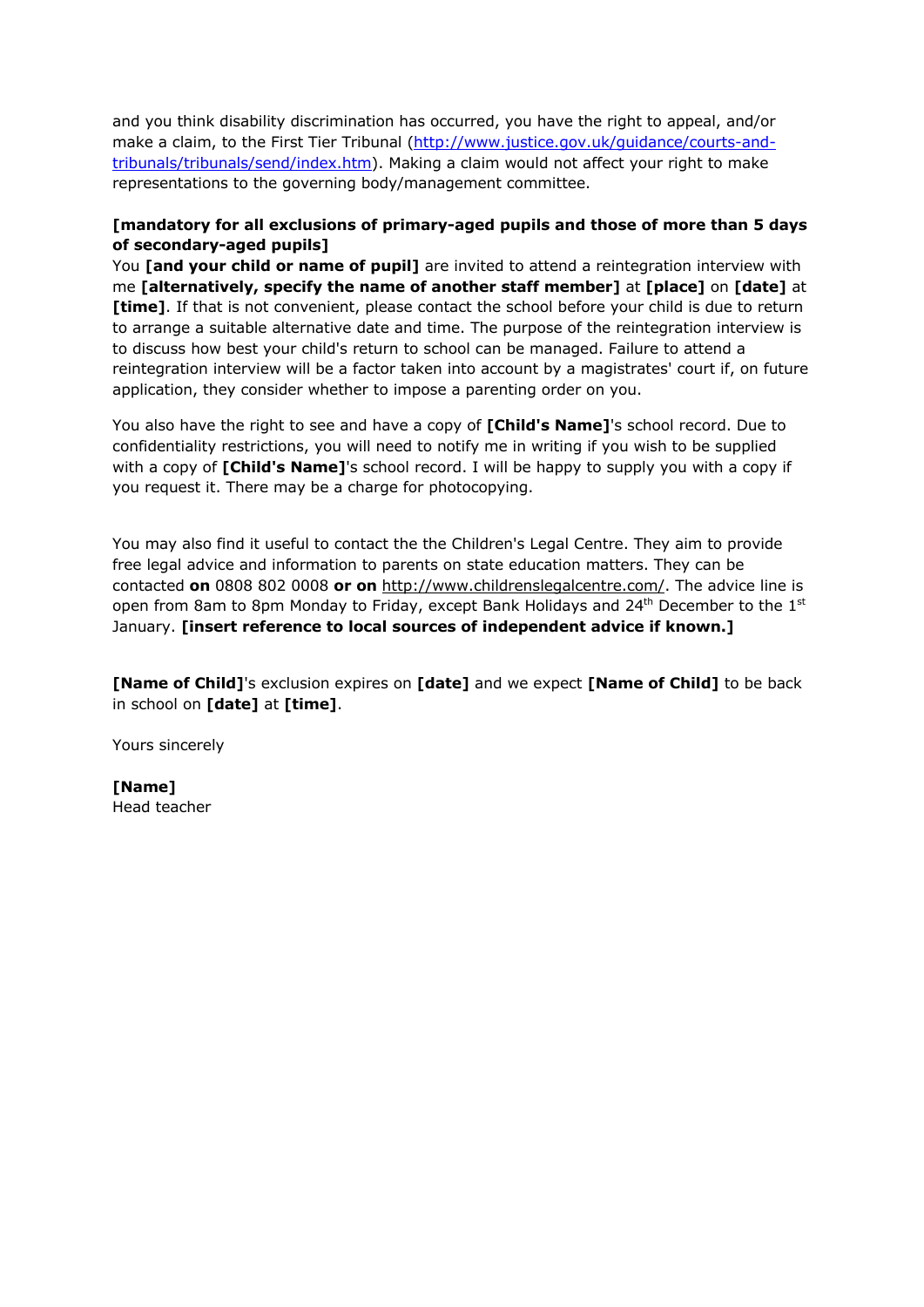and you think disability discrimination has occurred, you have the right to appeal, and/or make a claim, to the First Tier Tribunal (http://www.justice.gov.uk/guidance/courts-andtribunals/tribunals/send/index.htm). Making a claim would not affect your right to make representations to the governing body/management committee.

# **[mandatory for all exclusions of primary-aged pupils and those of more than 5 days of secondary-aged pupils]**

You **[and your child or name of pupil]** are invited to attend a reintegration interview with me **[alternatively, specify the name of another staff member]** at **[place]** on **[date]** at **[time]**. If that is not convenient, please contact the school before your child is due to return to arrange a suitable alternative date and time. The purpose of the reintegration interview is to discuss how best your child's return to school can be managed. Failure to attend a reintegration interview will be a factor taken into account by a magistrates' court if, on future application, they consider whether to impose a parenting order on you.

You also have the right to see and have a copy of **[Child's Name]**'s school record. Due to confidentiality restrictions, you will need to notify me in writing if you wish to be supplied with a copy of **[Child's Name]**'s school record. I will be happy to supply you with a copy if you request it. There may be a charge for photocopying.

You may also find it useful to contact the the Children's Legal Centre. They aim to provide free legal advice and information to parents on state education matters. They can be contacted **on** 0808 802 0008 **or on** http://www.childrenslegalcentre.com/. The advice line is open from 8am to 8pm Monday to Friday, except Bank Holidays and  $24<sup>th</sup>$  December to the  $1<sup>st</sup>$ January. **[insert reference to local sources of independent advice if known.]**

**[Name of Child]**'s exclusion expires on **[date]** and we expect **[Name of Child]** to be back in school on **[date]** at **[time]**.

Yours sincerely

**[Name]**  Head teacher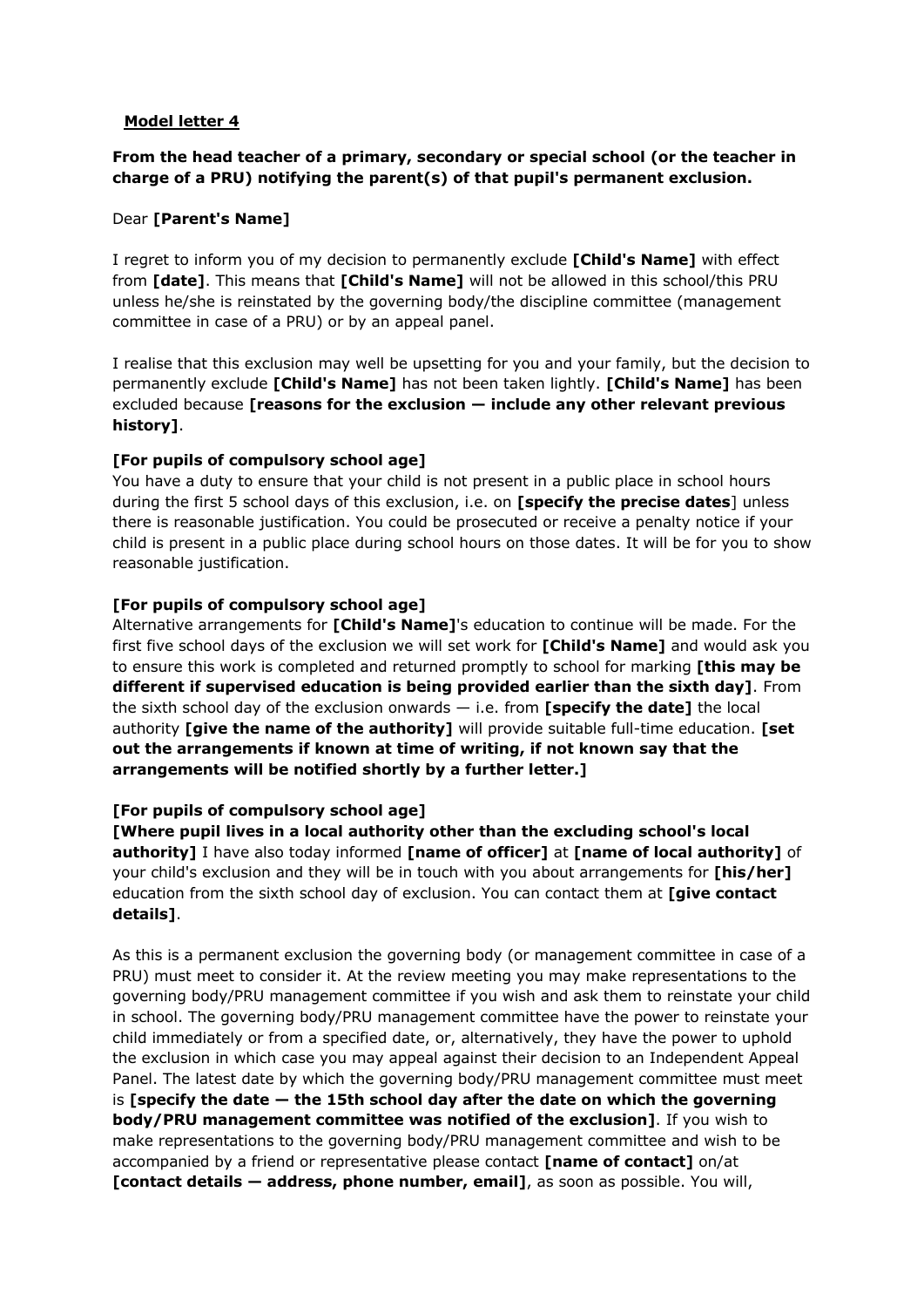# **From the head teacher of a primary, secondary or special school (or the teacher in charge of a PRU) notifying the parent(s) of that pupil's permanent exclusion.**

### Dear **[Parent's Name]**

I regret to inform you of my decision to permanently exclude **[Child's Name]** with effect from **[date]**. This means that **[Child's Name]** will not be allowed in this school/this PRU unless he/she is reinstated by the governing body/the discipline committee (management committee in case of a PRU) or by an appeal panel.

I realise that this exclusion may well be upsetting for you and your family, but the decision to permanently exclude **[Child's Name]** has not been taken lightly. **[Child's Name]** has been excluded because **[reasons for the exclusion — include any other relevant previous history]**.

# **[For pupils of compulsory school age]**

You have a duty to ensure that your child is not present in a public place in school hours during the first 5 school days of this exclusion, i.e. on **[specify the precise dates**] unless there is reasonable justification. You could be prosecuted or receive a penalty notice if your child is present in a public place during school hours on those dates. It will be for you to show reasonable justification.

### **[For pupils of compulsory school age]**

Alternative arrangements for **[Child's Name]**'s education to continue will be made. For the first five school days of the exclusion we will set work for **[Child's Name]** and would ask you to ensure this work is completed and returned promptly to school for marking **[this may be different if supervised education is being provided earlier than the sixth day]**. From the sixth school day of the exclusion onwards — i.e. from **[specify the date]** the local authority **[give the name of the authority]** will provide suitable full-time education. **[set out the arrangements if known at time of writing, if not known say that the arrangements will be notified shortly by a further letter.]**

### **[For pupils of compulsory school age]**

**[Where pupil lives in a local authority other than the excluding school's local authority]** I have also today informed **[name of officer]** at **[name of local authority]** of your child's exclusion and they will be in touch with you about arrangements for **[his/her]** education from the sixth school day of exclusion. You can contact them at **[give contact details]**.

As this is a permanent exclusion the governing body (or management committee in case of a PRU) must meet to consider it. At the review meeting you may make representations to the governing body/PRU management committee if you wish and ask them to reinstate your child in school. The governing body/PRU management committee have the power to reinstate your child immediately or from a specified date, or, alternatively, they have the power to uphold the exclusion in which case you may appeal against their decision to an Independent Appeal Panel. The latest date by which the governing body/PRU management committee must meet is **[specify the date — the 15th school day after the date on which the governing body/PRU management committee was notified of the exclusion]**. If you wish to make representations to the governing body/PRU management committee and wish to be accompanied by a friend or representative please contact **[name of contact]** on/at **[contact details — address, phone number, email]**, as soon as possible. You will,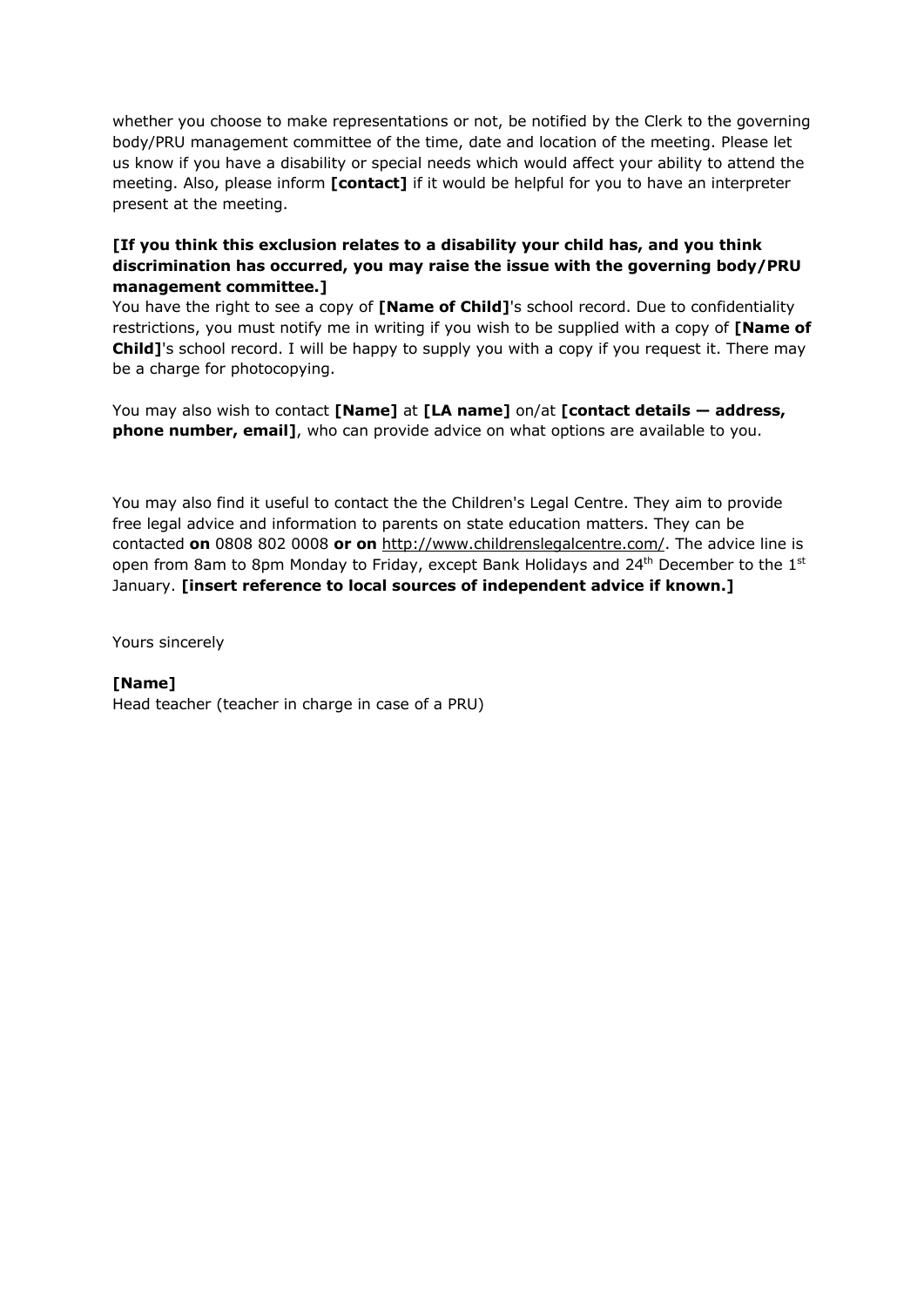whether you choose to make representations or not, be notified by the Clerk to the governing body/PRU management committee of the time, date and location of the meeting. Please let us know if you have a disability or special needs which would affect your ability to attend the meeting. Also, please inform **[contact]** if it would be helpful for you to have an interpreter present at the meeting.

# **[If you think this exclusion relates to a disability your child has, and you think discrimination has occurred, you may raise the issue with the governing body/PRU management committee.]**

You have the right to see a copy of **[Name of Child]**'s school record. Due to confidentiality restrictions, you must notify me in writing if you wish to be supplied with a copy of **[Name of Child]**'s school record. I will be happy to supply you with a copy if you request it. There may be a charge for photocopying.

You may also wish to contact **[Name]** at **[LA name]** on/at **[contact details — address, phone number, email]**, who can provide advice on what options are available to you.

You may also find it useful to contact the the Children's Legal Centre. They aim to provide free legal advice and information to parents on state education matters. They can be contacted **on** 0808 802 0008 **or on** http://www.childrenslegalcentre.com/. The advice line is open from 8am to 8pm Monday to Friday, except Bank Holidays and  $24<sup>th</sup>$  December to the  $1<sup>st</sup>$ January. **[insert reference to local sources of independent advice if known.]**

Yours sincerely

# **[Name]**

Head teacher (teacher in charge in case of a PRU)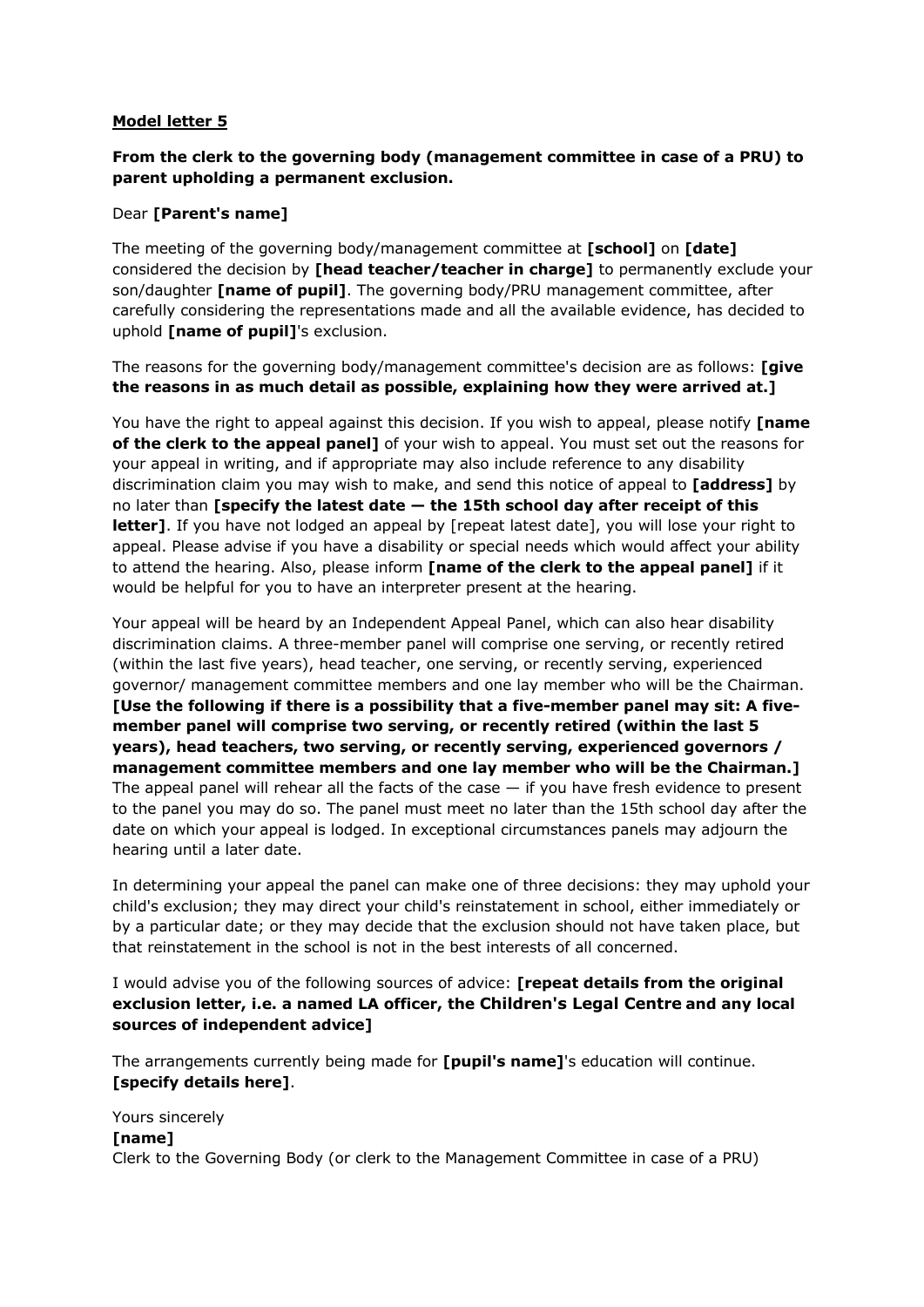# **From the clerk to the governing body (management committee in case of a PRU) to parent upholding a permanent exclusion.**

# Dear **[Parent's name]**

The meeting of the governing body/management committee at **[school]** on **[date]** considered the decision by **[head teacher/teacher in charge]** to permanently exclude your son/daughter **[name of pupil]**. The governing body/PRU management committee, after carefully considering the representations made and all the available evidence, has decided to uphold **[name of pupil]**'s exclusion.

The reasons for the governing body/management committee's decision are as follows: **[give the reasons in as much detail as possible, explaining how they were arrived at.]**

You have the right to appeal against this decision. If you wish to appeal, please notify **[name of the clerk to the appeal panel]** of your wish to appeal. You must set out the reasons for your appeal in writing, and if appropriate may also include reference to any disability discrimination claim you may wish to make, and send this notice of appeal to **[address]** by no later than **[specify the latest date — the 15th school day after receipt of this letter]**. If you have not lodged an appeal by [repeat latest date], you will lose your right to appeal. Please advise if you have a disability or special needs which would affect your ability to attend the hearing. Also, please inform **[name of the clerk to the appeal panel]** if it would be helpful for you to have an interpreter present at the hearing.

Your appeal will be heard by an Independent Appeal Panel, which can also hear disability discrimination claims. A three-member panel will comprise one serving, or recently retired (within the last five years), head teacher, one serving, or recently serving, experienced governor/ management committee members and one lay member who will be the Chairman. **[Use the following if there is a possibility that a five-member panel may sit: A fivemember panel will comprise two serving, or recently retired (within the last 5 years), head teachers, two serving, or recently serving, experienced governors / management committee members and one lay member who will be the Chairman.]** The appeal panel will rehear all the facts of the case  $-$  if you have fresh evidence to present to the panel you may do so. The panel must meet no later than the 15th school day after the date on which your appeal is lodged. In exceptional circumstances panels may adjourn the hearing until a later date.

In determining your appeal the panel can make one of three decisions: they may uphold your child's exclusion; they may direct your child's reinstatement in school, either immediately or by a particular date; or they may decide that the exclusion should not have taken place, but that reinstatement in the school is not in the best interests of all concerned.

I would advise you of the following sources of advice: **[repeat details from the original exclusion letter, i.e. a named LA officer, the Children's Legal Centre and any local sources of independent advice]**

The arrangements currently being made for **[pupil's name]**'s education will continue. **[specify details here]**.

Yours sincerely **[name]**  Clerk to the Governing Body (or clerk to the Management Committee in case of a PRU)